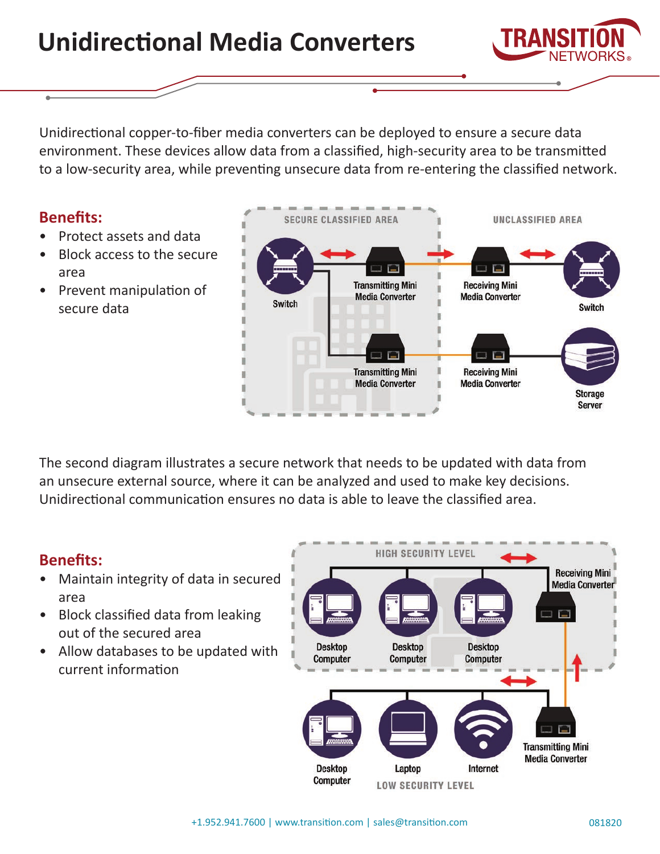**Desktop** 

**Computer** 

# **Unidirectional Media Converters**

Unidirectional copper-to-fiber media converters can be deployed to ensure a secure data environment. These devices allow data from a classified, high-security area to be transmitted to a low-security area, while preventing unsecure data from re-entering the classified network.

# **Benefits:**

- Protect assets and data
- Block access to the secure area
- Prevent manipulation of secure data

The second diagram illustrates a secure network that needs to be updated with data from an unsecure external source, where it can be analyzed and used to make key decisions. Unidirectional communication ensures no data is able to leave the classified area.

# **Benefits:**

- Maintain integrity of data in secured area
- Block classified data from leaking out of the secured area
- Allow databases to be updated with current information



**HIGH SECURITY LEVEL** 

**Desktop** 

**Computer** 

**Desktop Computer** 

**Receiving Mini Media Converter** 

H